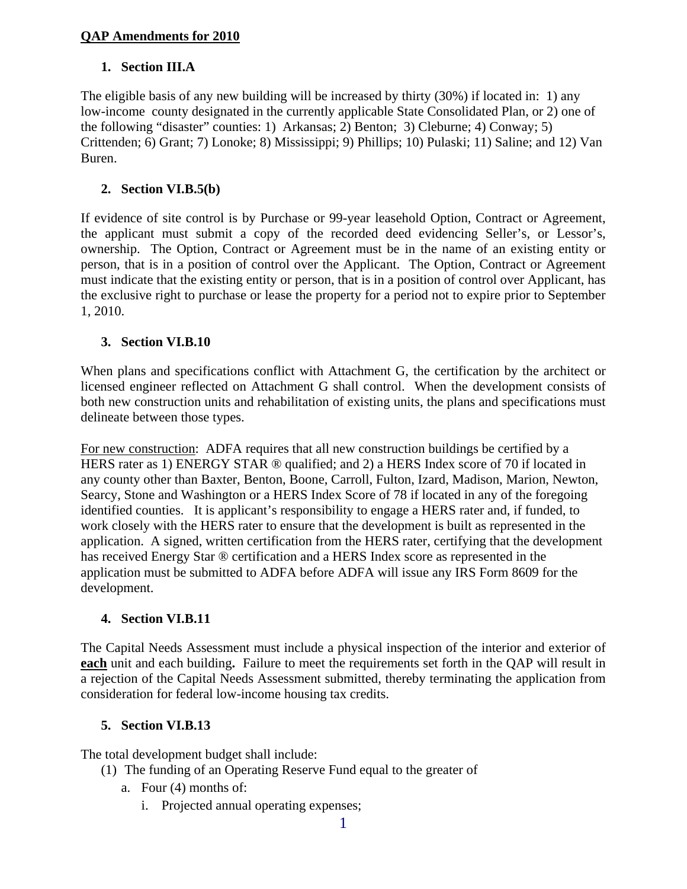### **QAP Amendments for 2010**

### **1. Section III.A**

The eligible basis of any new building will be increased by thirty (30%) if located in: 1) any low-income county designated in the currently applicable State Consolidated Plan, or 2) one of the following "disaster" counties: 1) Arkansas; 2) Benton; 3) Cleburne; 4) Conway; 5) Crittenden; 6) Grant; 7) Lonoke; 8) Mississippi; 9) Phillips; 10) Pulaski; 11) Saline; and 12) Van Buren.

### **2. Section VI.B.5(b)**

If evidence of site control is by Purchase or 99-year leasehold Option, Contract or Agreement, the applicant must submit a copy of the recorded deed evidencing Seller's, or Lessor's, ownership. The Option, Contract or Agreement must be in the name of an existing entity or person, that is in a position of control over the Applicant. The Option, Contract or Agreement must indicate that the existing entity or person, that is in a position of control over Applicant, has the exclusive right to purchase or lease the property for a period not to expire prior to September 1, 2010.

#### **3. Section VI.B.10**

When plans and specifications conflict with Attachment G, the certification by the architect or licensed engineer reflected on Attachment G shall control. When the development consists of both new construction units and rehabilitation of existing units, the plans and specifications must delineate between those types.

For new construction: ADFA requires that all new construction buildings be certified by a HERS rater as 1) ENERGY STAR ® qualified; and 2) a HERS Index score of 70 if located in any county other than Baxter, Benton, Boone, Carroll, Fulton, Izard, Madison, Marion, Newton, Searcy, Stone and Washington or a HERS Index Score of 78 if located in any of the foregoing identified counties. It is applicant's responsibility to engage a HERS rater and, if funded, to work closely with the HERS rater to ensure that the development is built as represented in the application. A signed, written certification from the HERS rater, certifying that the development has received Energy Star ® certification and a HERS Index score as represented in the application must be submitted to ADFA before ADFA will issue any IRS Form 8609 for the development.

### **4. Section VI.B.11**

The Capital Needs Assessment must include a physical inspection of the interior and exterior of **each** unit and each building**.** Failure to meet the requirements set forth in the QAP will result in a rejection of the Capital Needs Assessment submitted, thereby terminating the application from consideration for federal low-income housing tax credits.

#### **5. Section VI.B.13**

The total development budget shall include:

- (1) The funding of an Operating Reserve Fund equal to the greater of
	- a. Four (4) months of:
		- i. Projected annual operating expenses;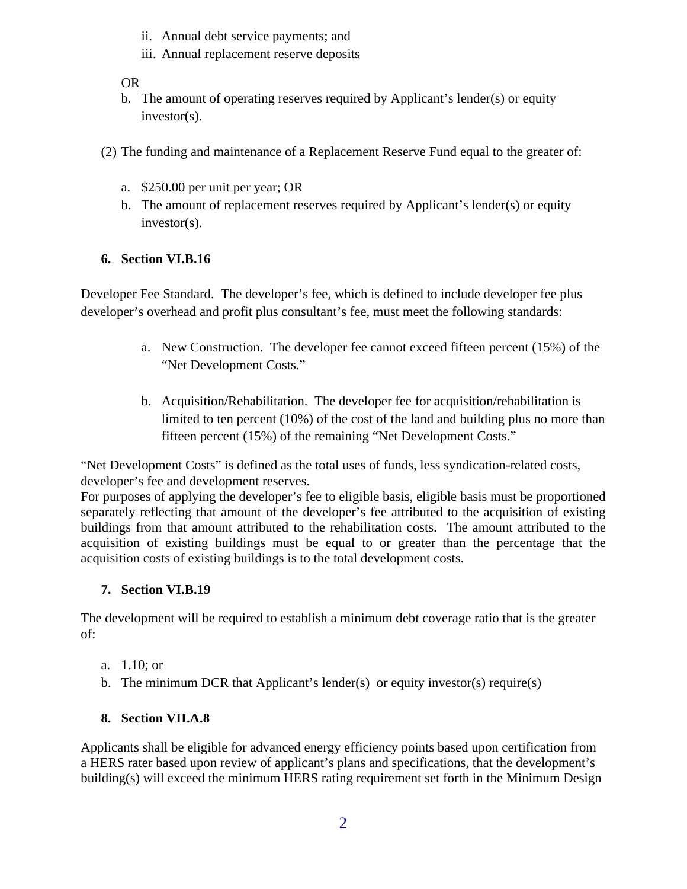- ii. Annual debt service payments; and
- iii. Annual replacement reserve deposits

OR

- b. The amount of operating reserves required by Applicant's lender(s) or equity investor(s).
- (2) The funding and maintenance of a Replacement Reserve Fund equal to the greater of:
	- a. \$250.00 per unit per year; OR
	- b. The amount of replacement reserves required by Applicant's lender(s) or equity investor(s).

## **6. Section VI.B.16**

Developer Fee Standard. The developer's fee, which is defined to include developer fee plus developer's overhead and profit plus consultant's fee, must meet the following standards:

- a. New Construction. The developer fee cannot exceed fifteen percent (15%) of the "Net Development Costs."
- b. Acquisition/Rehabilitation. The developer fee for acquisition/rehabilitation is limited to ten percent (10%) of the cost of the land and building plus no more than fifteen percent (15%) of the remaining "Net Development Costs."

"Net Development Costs" is defined as the total uses of funds, less syndication-related costs, developer's fee and development reserves.

For purposes of applying the developer's fee to eligible basis, eligible basis must be proportioned separately reflecting that amount of the developer's fee attributed to the acquisition of existing buildings from that amount attributed to the rehabilitation costs. The amount attributed to the acquisition of existing buildings must be equal to or greater than the percentage that the acquisition costs of existing buildings is to the total development costs.

## **7. Section VI.B.19**

The development will be required to establish a minimum debt coverage ratio that is the greater of:

- a. 1.10; or
- b. The minimum DCR that Applicant's lender(s) or equity investor(s) require(s)

## **8. Section VII.A.8**

Applicants shall be eligible for advanced energy efficiency points based upon certification from a HERS rater based upon review of applicant's plans and specifications, that the development's building(s) will exceed the minimum HERS rating requirement set forth in the Minimum Design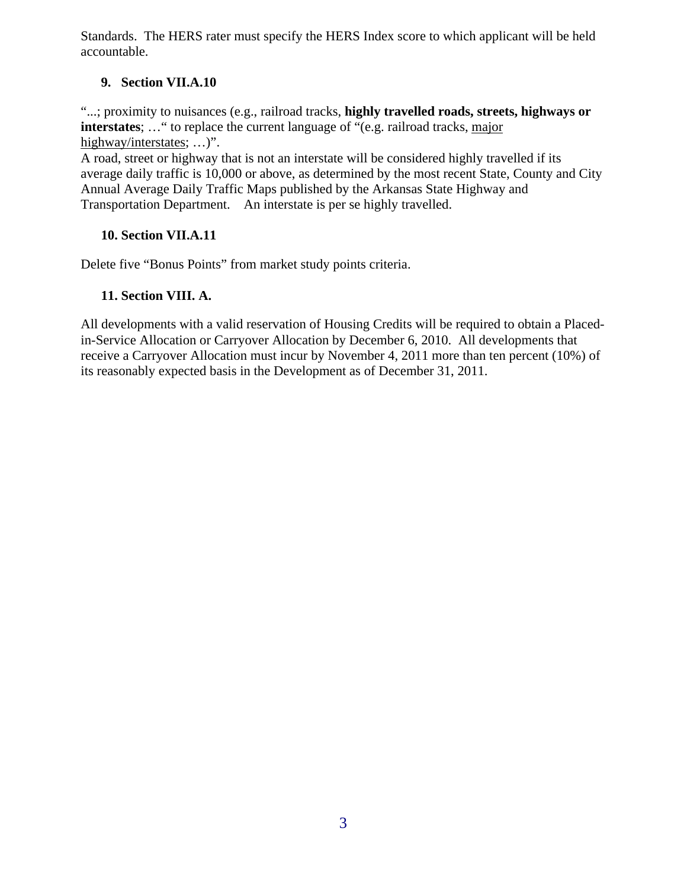Standards. The HERS rater must specify the HERS Index score to which applicant will be held accountable.

### **9. Section VII.A.10**

"...; proximity to nuisances (e.g., railroad tracks, **highly travelled roads, streets, highways or interstates**; ... " to replace the current language of "(e.g. railroad tracks, major highway/interstates; ...)".

A road, street or highway that is not an interstate will be considered highly travelled if its average daily traffic is 10,000 or above, as determined by the most recent State, County and City Annual Average Daily Traffic Maps published by the Arkansas State Highway and Transportation Department. An interstate is per se highly travelled.

## **10. Section VII.A.11**

Delete five "Bonus Points" from market study points criteria.

## **11. Section VIII. A.**

All developments with a valid reservation of Housing Credits will be required to obtain a Placedin-Service Allocation or Carryover Allocation by December 6, 2010. All developments that receive a Carryover Allocation must incur by November 4, 2011 more than ten percent (10%) of its reasonably expected basis in the Development as of December 31, 2011.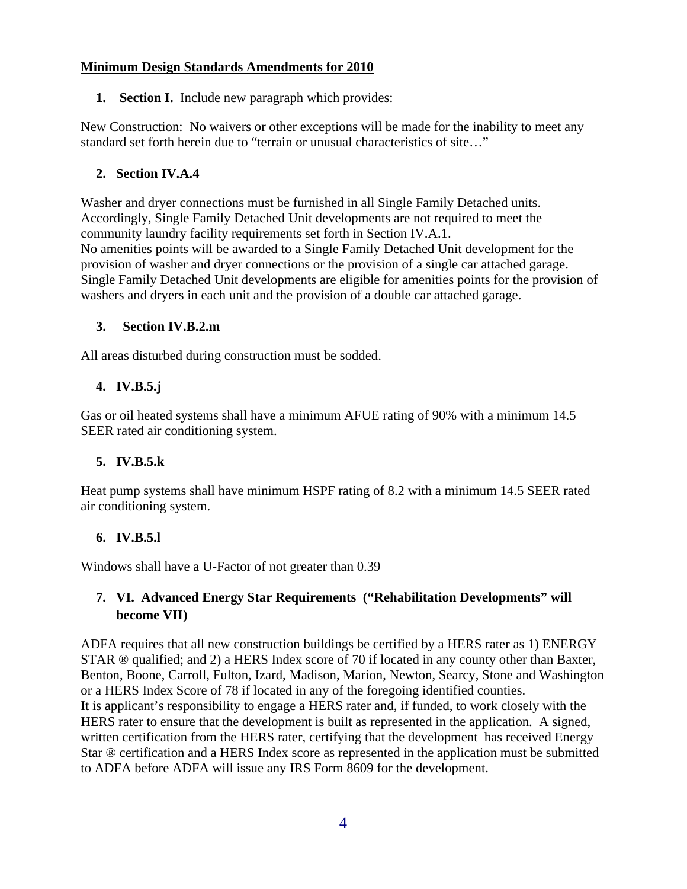#### **Minimum Design Standards Amendments for 2010**

**1. Section I.** Include new paragraph which provides:

New Construction: No waivers or other exceptions will be made for the inability to meet any standard set forth herein due to "terrain or unusual characteristics of site…"

### **2. Section IV.A.4**

Washer and dryer connections must be furnished in all Single Family Detached units. Accordingly, Single Family Detached Unit developments are not required to meet the community laundry facility requirements set forth in Section IV.A.1. No amenities points will be awarded to a Single Family Detached Unit development for the provision of washer and dryer connections or the provision of a single car attached garage. Single Family Detached Unit developments are eligible for amenities points for the provision of washers and dryers in each unit and the provision of a double car attached garage.

### **3. Section IV.B.2.m**

All areas disturbed during construction must be sodded.

### **4. IV.B.5.j**

Gas or oil heated systems shall have a minimum AFUE rating of 90% with a minimum 14.5 SEER rated air conditioning system.

### **5. IV.B.5.k**

Heat pump systems shall have minimum HSPF rating of 8.2 with a minimum 14.5 SEER rated air conditioning system.

#### **6. IV.B.5.l**

Windows shall have a U-Factor of not greater than 0.39

# **7. VI. Advanced Energy Star Requirements ("Rehabilitation Developments" will become VII)**

ADFA requires that all new construction buildings be certified by a HERS rater as 1) ENERGY STAR ® qualified; and 2) a HERS Index score of 70 if located in any county other than Baxter, Benton, Boone, Carroll, Fulton, Izard, Madison, Marion, Newton, Searcy, Stone and Washington or a HERS Index Score of 78 if located in any of the foregoing identified counties. It is applicant's responsibility to engage a HERS rater and, if funded, to work closely with the HERS rater to ensure that the development is built as represented in the application. A signed, written certification from the HERS rater, certifying that the development has received Energy Star ® certification and a HERS Index score as represented in the application must be submitted to ADFA before ADFA will issue any IRS Form 8609 for the development.